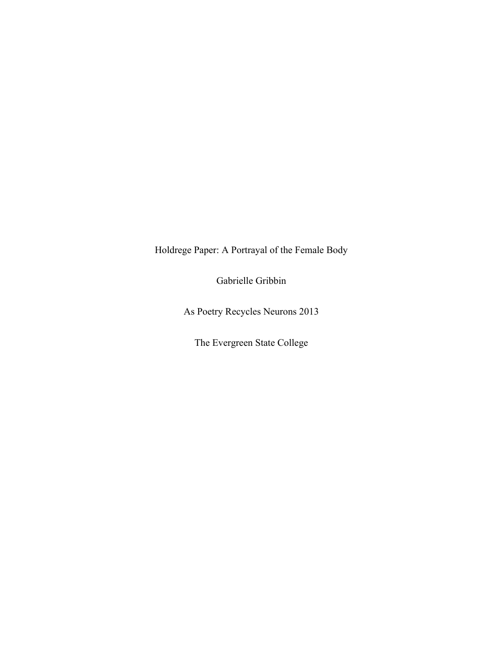Holdrege Paper: A Portrayal of the Female Body

Gabrielle Gribbin

As Poetry Recycles Neurons 2013

The Evergreen State College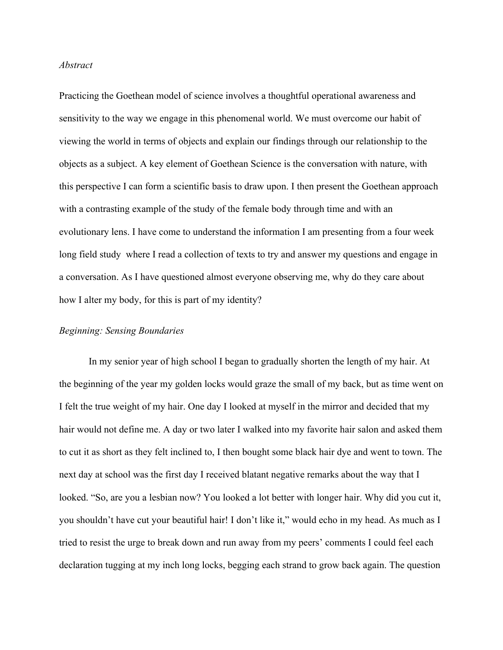# *Abstract*

Practicing the Goethean model of science involves a thoughtful operational awareness and sensitivity to the way we engage in this phenomenal world. We must overcome our habit of viewing the world in terms of objects and explain our findings through our relationship to the objects as a subject. A key element of Goethean Science is the conversation with nature, with this perspective I can form a scientific basis to draw upon. I then present the Goethean approach with a contrasting example of the study of the female body through time and with an evolutionary lens. I have come to understand the information I am presenting from a four week long field study where I read a collection of texts to try and answer my questions and engage in a conversation. As I have questioned almost everyone observing me, why do they care about how I alter my body, for this is part of my identity?

#### *Beginning: Sensing Boundaries*

In my senior year of high school I began to gradually shorten the length of my hair. At the beginning of the year my golden locks would graze the small of my back, but as time went on I felt the true weight of my hair. One day I looked at myself in the mirror and decided that my hair would not define me. A day or two later I walked into my favorite hair salon and asked them to cut it as short as they felt inclined to, I then bought some black hair dye and went to town. The next day at school was the first day I received blatant negative remarks about the way that I looked. "So, are you a lesbian now? You looked a lot better with longer hair. Why did you cut it, you shouldn't have cut your beautiful hair! I don't like it," would echo in my head. As much as I tried to resist the urge to break down and run away from my peers' comments I could feel each declaration tugging at my inch long locks, begging each strand to grow back again. The question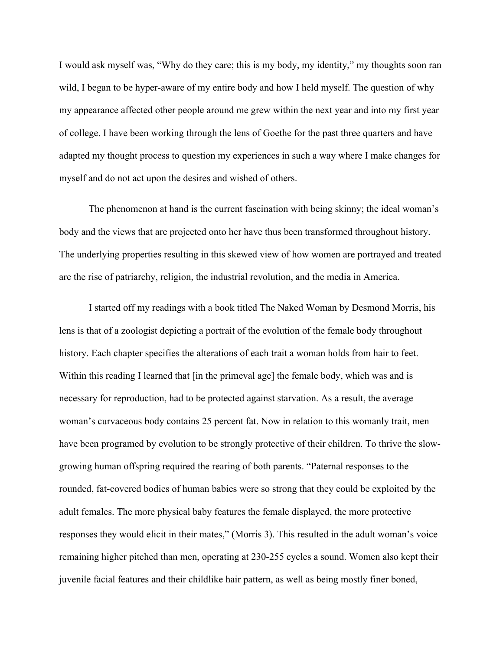I would ask myself was, "Why do they care; this is my body, my identity," my thoughts soon ran wild, I began to be hyper-aware of my entire body and how I held myself. The question of why my appearance affected other people around me grew within the next year and into my first year of college. I have been working through the lens of Goethe for the past three quarters and have adapted my thought process to question my experiences in such a way where I make changes for myself and do not act upon the desires and wished of others.

The phenomenon at hand is the current fascination with being skinny; the ideal woman's body and the views that are projected onto her have thus been transformed throughout history. The underlying properties resulting in this skewed view of how women are portrayed and treated are the rise of patriarchy, religion, the industrial revolution, and the media in America.

I started off my readings with a book titled The Naked Woman by Desmond Morris, his lens is that of a zoologist depicting a portrait of the evolution of the female body throughout history. Each chapter specifies the alterations of each trait a woman holds from hair to feet. Within this reading I learned that  $\lceil \ln \text{ the primeval age} \rceil$  the female body, which was and is necessary for reproduction, had to be protected against starvation. As a result, the average woman's curvaceous body contains 25 percent fat. Now in relation to this womanly trait, men have been programed by evolution to be strongly protective of their children. To thrive the slowgrowing human offspring required the rearing of both parents. "Paternal responses to the rounded, fat-covered bodies of human babies were so strong that they could be exploited by the adult females. The more physical baby features the female displayed, the more protective responses they would elicit in their mates," (Morris 3). This resulted in the adult woman's voice remaining higher pitched than men, operating at 230-255 cycles a sound. Women also kept their juvenile facial features and their childlike hair pattern, as well as being mostly finer boned,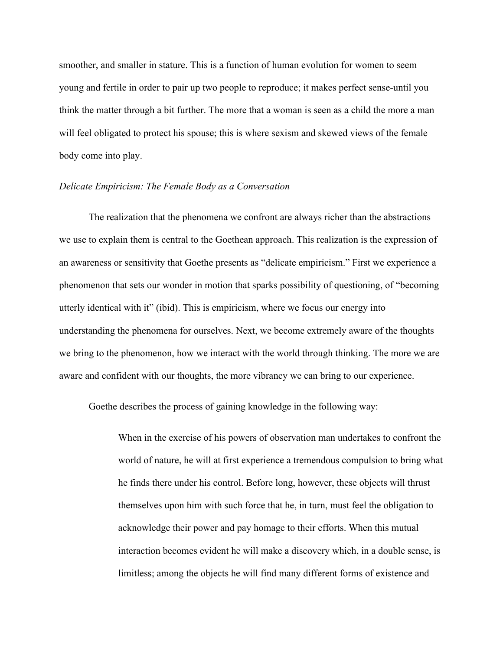smoother, and smaller in stature. This is a function of human evolution for women to seem young and fertile in order to pair up two people to reproduce; it makes perfect sense-until you think the matter through a bit further. The more that a woman is seen as a child the more a man will feel obligated to protect his spouse; this is where sexism and skewed views of the female body come into play.

## *Delicate Empiricism: The Female Body as a Conversation*

The realization that the phenomena we confront are always richer than the abstractions we use to explain them is central to the Goethean approach. This realization is the expression of an awareness or sensitivity that Goethe presents as "delicate empiricism." First we experience a phenomenon that sets our wonder in motion that sparks possibility of questioning, of "becoming utterly identical with it" (ibid). This is empiricism, where we focus our energy into understanding the phenomena for ourselves. Next, we become extremely aware of the thoughts we bring to the phenomenon, how we interact with the world through thinking. The more we are aware and confident with our thoughts, the more vibrancy we can bring to our experience.

Goethe describes the process of gaining knowledge in the following way:

When in the exercise of his powers of observation man undertakes to confront the world of nature, he will at first experience a tremendous compulsion to bring what he finds there under his control. Before long, however, these objects will thrust themselves upon him with such force that he, in turn, must feel the obligation to acknowledge their power and pay homage to their efforts. When this mutual interaction becomes evident he will make a discovery which, in a double sense, is limitless; among the objects he will find many different forms of existence and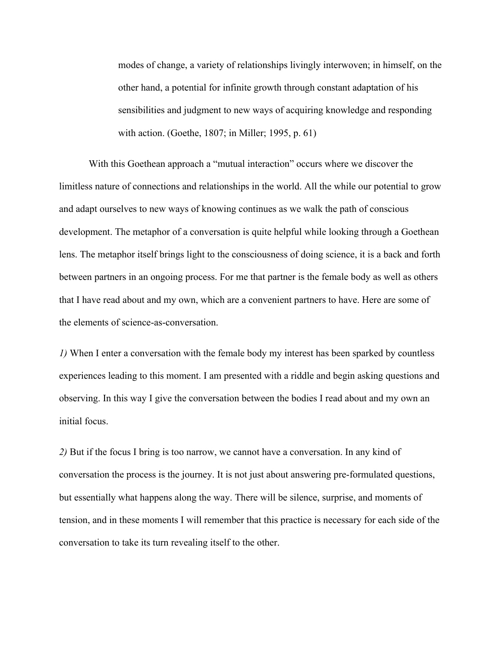modes of change, a variety of relationships livingly interwoven; in himself, on the other hand, a potential for infinite growth through constant adaptation of his sensibilities and judgment to new ways of acquiring knowledge and responding with action. (Goethe, 1807; in Miller; 1995, p. 61)

With this Goethean approach a "mutual interaction" occurs where we discover the limitless nature of connections and relationships in the world. All the while our potential to grow and adapt ourselves to new ways of knowing continues as we walk the path of conscious development. The metaphor of a conversation is quite helpful while looking through a Goethean lens. The metaphor itself brings light to the consciousness of doing science, it is a back and forth between partners in an ongoing process. For me that partner is the female body as well as others that I have read about and my own, which are a convenient partners to have. Here are some of the elements of science-as-conversation.

*1)* When I enter a conversation with the female body my interest has been sparked by countless experiences leading to this moment. I am presented with a riddle and begin asking questions and observing. In this way I give the conversation between the bodies I read about and my own an initial focus.

*2)* But if the focus I bring is too narrow, we cannot have a conversation. In any kind of conversation the process is the journey. It is not just about answering pre-formulated questions, but essentially what happens along the way. There will be silence, surprise, and moments of tension, and in these moments I will remember that this practice is necessary for each side of the conversation to take its turn revealing itself to the other.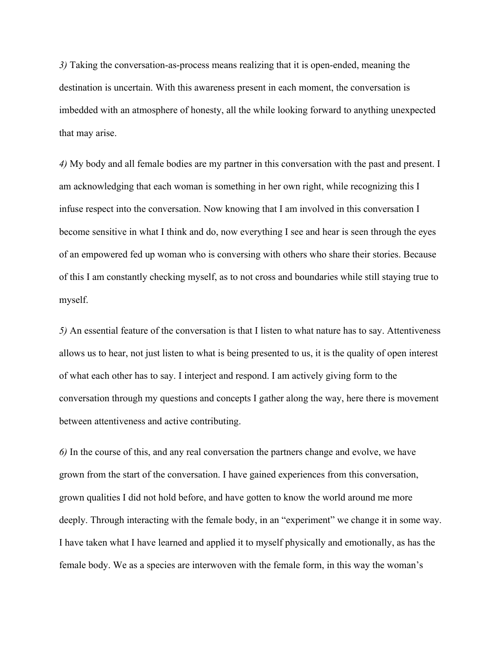*3)* Taking the conversation-as-process means realizing that it is open-ended, meaning the destination is uncertain. With this awareness present in each moment, the conversation is imbedded with an atmosphere of honesty, all the while looking forward to anything unexpected that may arise.

*4)* My body and all female bodies are my partner in this conversation with the past and present. I am acknowledging that each woman is something in her own right, while recognizing this I infuse respect into the conversation. Now knowing that I am involved in this conversation I become sensitive in what I think and do, now everything I see and hear is seen through the eyes of an empowered fed up woman who is conversing with others who share their stories. Because of this I am constantly checking myself, as to not cross and boundaries while still staying true to myself.

*5)* An essential feature of the conversation is that I listen to what nature has to say. Attentiveness allows us to hear, not just listen to what is being presented to us, it is the quality of open interest of what each other has to say. I interject and respond. I am actively giving form to the conversation through my questions and concepts I gather along the way, here there is movement between attentiveness and active contributing.

*6)* In the course of this, and any real conversation the partners change and evolve, we have grown from the start of the conversation. I have gained experiences from this conversation, grown qualities I did not hold before, and have gotten to know the world around me more deeply. Through interacting with the female body, in an "experiment" we change it in some way. I have taken what I have learned and applied it to myself physically and emotionally, as has the female body. We as a species are interwoven with the female form, in this way the woman's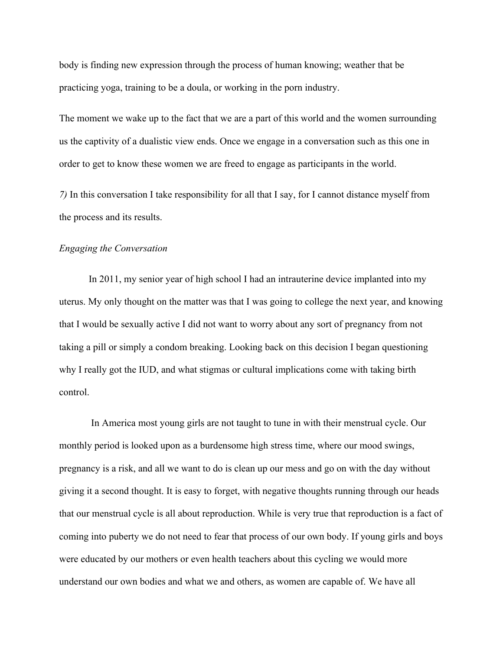body is finding new expression through the process of human knowing; weather that be practicing yoga, training to be a doula, or working in the porn industry.

The moment we wake up to the fact that we are a part of this world and the women surrounding us the captivity of a dualistic view ends. Once we engage in a conversation such as this one in order to get to know these women we are freed to engage as participants in the world.

*7)* In this conversation I take responsibility for all that I say, for I cannot distance myself from the process and its results.

## *Engaging the Conversation*

In 2011, my senior year of high school I had an intrauterine device implanted into my uterus. My only thought on the matter was that I was going to college the next year, and knowing that I would be sexually active I did not want to worry about any sort of pregnancy from not taking a pill or simply a condom breaking. Looking back on this decision I began questioning why I really got the IUD, and what stigmas or cultural implications come with taking birth control.

In America most young girls are not taught to tune in with their menstrual cycle. Our monthly period is looked upon as a burdensome high stress time, where our mood swings, pregnancy is a risk, and all we want to do is clean up our mess and go on with the day without giving it a second thought. It is easy to forget, with negative thoughts running through our heads that our menstrual cycle is all about reproduction. While is very true that reproduction is a fact of coming into puberty we do not need to fear that process of our own body. If young girls and boys were educated by our mothers or even health teachers about this cycling we would more understand our own bodies and what we and others, as women are capable of. We have all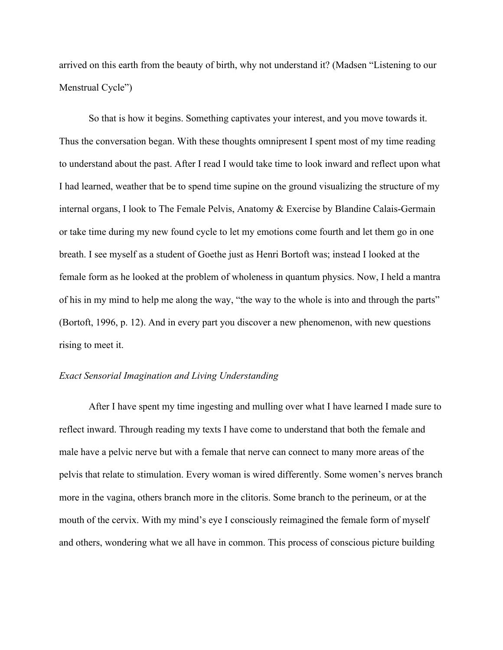arrived on this earth from the beauty of birth, why not understand it? (Madsen "Listening to our Menstrual Cycle")

So that is how it begins. Something captivates your interest, and you move towards it. Thus the conversation began. With these thoughts omnipresent I spent most of my time reading to understand about the past. After I read I would take time to look inward and reflect upon what I had learned, weather that be to spend time supine on the ground visualizing the structure of my internal organs, I look to The Female Pelvis, Anatomy & Exercise by Blandine Calais-Germain or take time during my new found cycle to let my emotions come fourth and let them go in one breath. I see myself as a student of Goethe just as Henri Bortoft was; instead I looked at the female form as he looked at the problem of wholeness in quantum physics. Now, I held a mantra of his in my mind to help me along the way, "the way to the whole is into and through the parts" (Bortoft, 1996, p. 12). And in every part you discover a new phenomenon, with new questions rising to meet it.

## *Exact Sensorial Imagination and Living Understanding*

After I have spent my time ingesting and mulling over what I have learned I made sure to reflect inward. Through reading my texts I have come to understand that both the female and male have a pelvic nerve but with a female that nerve can connect to many more areas of the pelvis that relate to stimulation. Every woman is wired differently. Some women's nerves branch more in the vagina, others branch more in the clitoris. Some branch to the perineum, or at the mouth of the cervix. With my mind's eye I consciously reimagined the female form of myself and others, wondering what we all have in common. This process of conscious picture building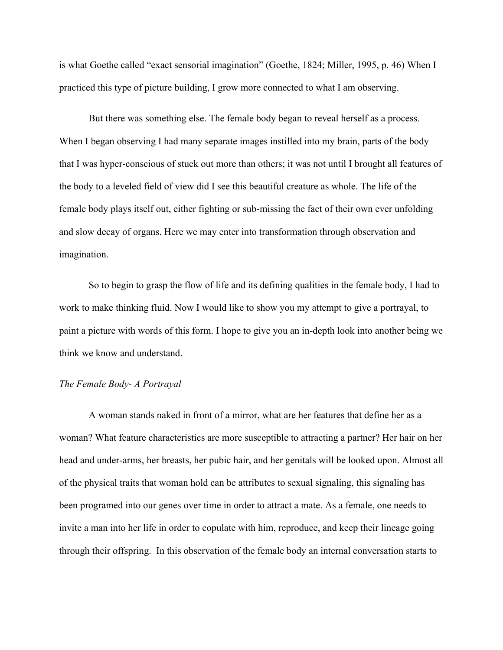is what Goethe called "exact sensorial imagination" (Goethe, 1824; Miller, 1995, p. 46) When I practiced this type of picture building, I grow more connected to what I am observing.

But there was something else. The female body began to reveal herself as a process. When I began observing I had many separate images instilled into my brain, parts of the body that I was hyper-conscious of stuck out more than others; it was not until I brought all features of the body to a leveled field of view did I see this beautiful creature as whole. The life of the female body plays itself out, either fighting or sub-missing the fact of their own ever unfolding and slow decay of organs. Here we may enter into transformation through observation and imagination.

So to begin to grasp the flow of life and its defining qualities in the female body, I had to work to make thinking fluid. Now I would like to show you my attempt to give a portrayal, to paint a picture with words of this form. I hope to give you an in-depth look into another being we think we know and understand.

#### *The Female Body- A Portrayal*

A woman stands naked in front of a mirror, what are her features that define her as a woman? What feature characteristics are more susceptible to attracting a partner? Her hair on her head and under-arms, her breasts, her pubic hair, and her genitals will be looked upon. Almost all of the physical traits that woman hold can be attributes to sexual signaling, this signaling has been programed into our genes over time in order to attract a mate. As a female, one needs to invite a man into her life in order to copulate with him, reproduce, and keep their lineage going through their offspring. In this observation of the female body an internal conversation starts to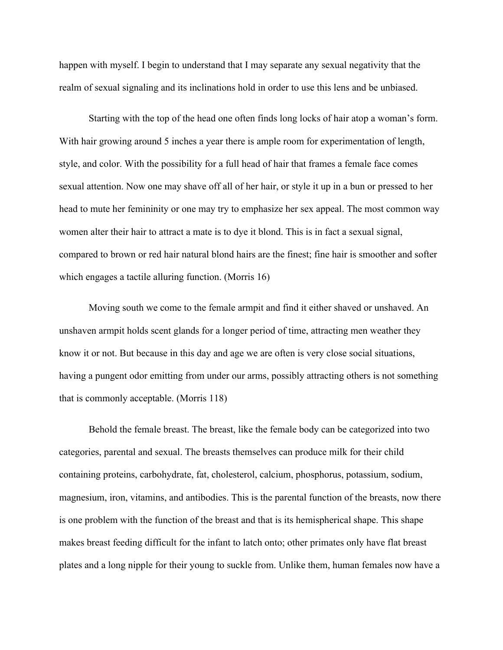happen with myself. I begin to understand that I may separate any sexual negativity that the realm of sexual signaling and its inclinations hold in order to use this lens and be unbiased.

Starting with the top of the head one often finds long locks of hair atop a woman's form. With hair growing around 5 inches a year there is ample room for experimentation of length, style, and color. With the possibility for a full head of hair that frames a female face comes sexual attention. Now one may shave off all of her hair, or style it up in a bun or pressed to her head to mute her femininity or one may try to emphasize her sex appeal. The most common way women alter their hair to attract a mate is to dye it blond. This is in fact a sexual signal, compared to brown or red hair natural blond hairs are the finest; fine hair is smoother and softer which engages a tactile alluring function. (Morris 16)

Moving south we come to the female armpit and find it either shaved or unshaved. An unshaven armpit holds scent glands for a longer period of time, attracting men weather they know it or not. But because in this day and age we are often is very close social situations, having a pungent odor emitting from under our arms, possibly attracting others is not something that is commonly acceptable. (Morris 118)

Behold the female breast. The breast, like the female body can be categorized into two categories, parental and sexual. The breasts themselves can produce milk for their child containing proteins, carbohydrate, fat, cholesterol, calcium, phosphorus, potassium, sodium, magnesium, iron, vitamins, and antibodies. This is the parental function of the breasts, now there is one problem with the function of the breast and that is its hemispherical shape. This shape makes breast feeding difficult for the infant to latch onto; other primates only have flat breast plates and a long nipple for their young to suckle from. Unlike them, human females now have a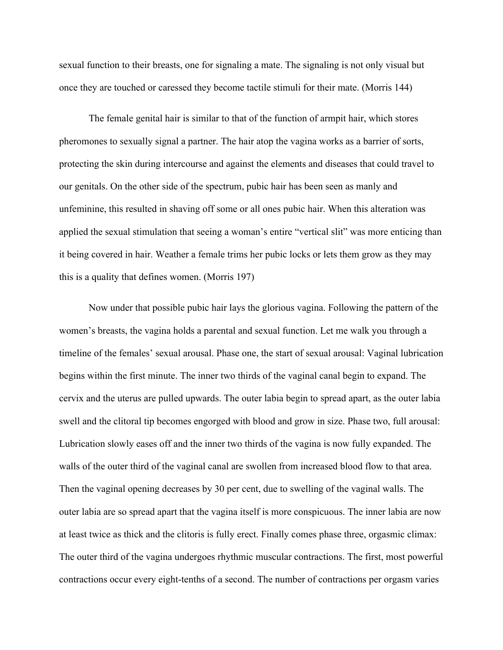sexual function to their breasts, one for signaling a mate. The signaling is not only visual but once they are touched or caressed they become tactile stimuli for their mate. (Morris 144)

The female genital hair is similar to that of the function of armpit hair, which stores pheromones to sexually signal a partner. The hair atop the vagina works as a barrier of sorts, protecting the skin during intercourse and against the elements and diseases that could travel to our genitals. On the other side of the spectrum, pubic hair has been seen as manly and unfeminine, this resulted in shaving off some or all ones pubic hair. When this alteration was applied the sexual stimulation that seeing a woman's entire "vertical slit" was more enticing than it being covered in hair. Weather a female trims her pubic locks or lets them grow as they may this is a quality that defines women. (Morris 197)

Now under that possible pubic hair lays the glorious vagina. Following the pattern of the women's breasts, the vagina holds a parental and sexual function. Let me walk you through a timeline of the females' sexual arousal. Phase one, the start of sexual arousal: Vaginal lubrication begins within the first minute. The inner two thirds of the vaginal canal begin to expand. The cervix and the uterus are pulled upwards. The outer labia begin to spread apart, as the outer labia swell and the clitoral tip becomes engorged with blood and grow in size. Phase two, full arousal: Lubrication slowly eases off and the inner two thirds of the vagina is now fully expanded. The walls of the outer third of the vaginal canal are swollen from increased blood flow to that area. Then the vaginal opening decreases by 30 per cent, due to swelling of the vaginal walls. The outer labia are so spread apart that the vagina itself is more conspicuous. The inner labia are now at least twice as thick and the clitoris is fully erect. Finally comes phase three, orgasmic climax: The outer third of the vagina undergoes rhythmic muscular contractions. The first, most powerful contractions occur every eight-tenths of a second. The number of contractions per orgasm varies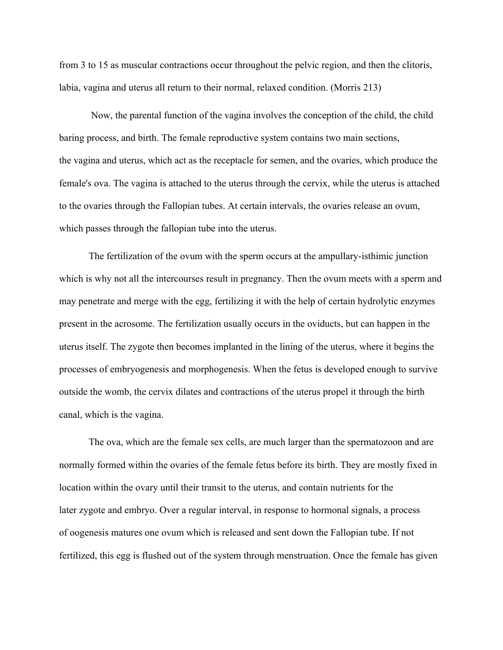from 3 to 15 as muscular contractions occur throughout the pelvic region, and then the clitoris, labia, vagina and uterus all return to their normal, relaxed condition. (Morris 213)

Now, the parental function of the vagina involves the conception of the child, the child baring process, and birth. The female reproductive system contains two main sections, the vagina and uterus, which act as the receptacle for semen, and the ovaries, which produce the female's ova. The vagina is attached to the uterus through the cervix, while the uterus is attached to the ovaries through the Fallopian tubes. At certain intervals, the ovaries release an ovum, which passes through the fallopian tube into the uterus.

The fertilization of the ovum with the sperm occurs at the ampullary-isthimic junction which is why not all the intercourses result in pregnancy. Then the ovum meets with a sperm and may penetrate and merge with the egg, fertilizing it with the help of certain hydrolytic enzymes present in the acrosome. The fertilization usually occurs in the oviducts, but can happen in the uterus itself. The zygote then becomes implanted in the lining of the uterus, where it begins the processes of embryogenesis and morphogenesis. When the fetus is developed enough to survive outside the womb, the cervix dilates and contractions of the uterus propel it through the birth canal, which is the vagina.

The ova, which are the female sex cells, are much larger than the spermatozoon and are normally formed within the ovaries of the female fetus before its birth. They are mostly fixed in location within the ovary until their transit to the uterus, and contain nutrients for the later zygote and embryo. Over a regular interval, in response to hormonal signals, a process of oogenesis matures one ovum which is released and sent down the Fallopian tube. If not fertilized, this egg is flushed out of the system through menstruation. Once the female has given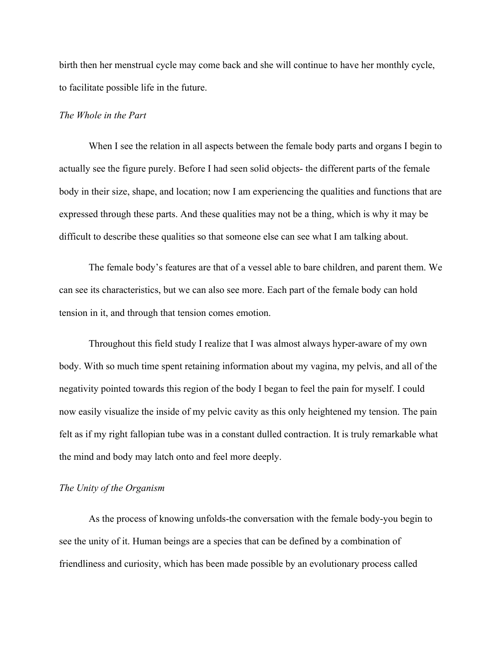birth then her menstrual cycle may come back and she will continue to have her monthly cycle, to facilitate possible life in the future.

#### *The Whole in the Part*

When I see the relation in all aspects between the female body parts and organs I begin to actually see the figure purely. Before I had seen solid objects- the different parts of the female body in their size, shape, and location; now I am experiencing the qualities and functions that are expressed through these parts. And these qualities may not be a thing, which is why it may be difficult to describe these qualities so that someone else can see what I am talking about.

The female body's features are that of a vessel able to bare children, and parent them. We can see its characteristics, but we can also see more. Each part of the female body can hold tension in it, and through that tension comes emotion.

Throughout this field study I realize that I was almost always hyper-aware of my own body. With so much time spent retaining information about my vagina, my pelvis, and all of the negativity pointed towards this region of the body I began to feel the pain for myself. I could now easily visualize the inside of my pelvic cavity as this only heightened my tension. The pain felt as if my right fallopian tube was in a constant dulled contraction. It is truly remarkable what the mind and body may latch onto and feel more deeply.

## *The Unity of the Organism*

As the process of knowing unfolds-the conversation with the female body-you begin to see the unity of it. Human beings are a species that can be defined by a combination of friendliness and curiosity, which has been made possible by an evolutionary process called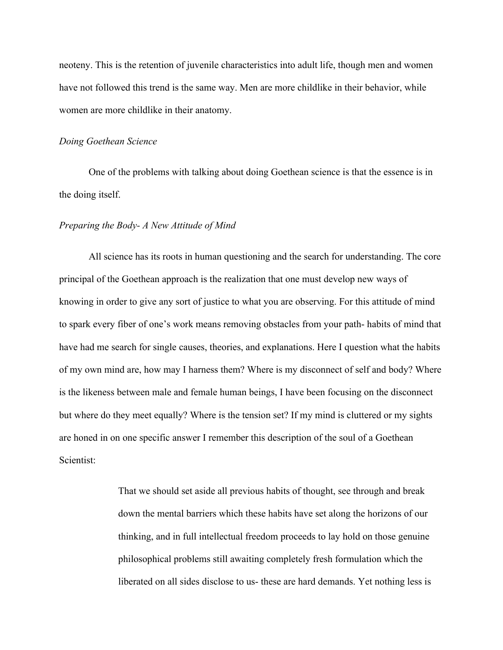neoteny. This is the retention of juvenile characteristics into adult life, though men and women have not followed this trend is the same way. Men are more childlike in their behavior, while women are more childlike in their anatomy.

## *Doing Goethean Science*

One of the problems with talking about doing Goethean science is that the essence is in the doing itself.

#### *Preparing the Body- A New Attitude of Mind*

All science has its roots in human questioning and the search for understanding. The core principal of the Goethean approach is the realization that one must develop new ways of knowing in order to give any sort of justice to what you are observing. For this attitude of mind to spark every fiber of one's work means removing obstacles from your path- habits of mind that have had me search for single causes, theories, and explanations. Here I question what the habits of my own mind are, how may I harness them? Where is my disconnect of self and body? Where is the likeness between male and female human beings, I have been focusing on the disconnect but where do they meet equally? Where is the tension set? If my mind is cluttered or my sights are honed in on one specific answer I remember this description of the soul of a Goethean Scientist:

> That we should set aside all previous habits of thought, see through and break down the mental barriers which these habits have set along the horizons of our thinking, and in full intellectual freedom proceeds to lay hold on those genuine philosophical problems still awaiting completely fresh formulation which the liberated on all sides disclose to us- these are hard demands. Yet nothing less is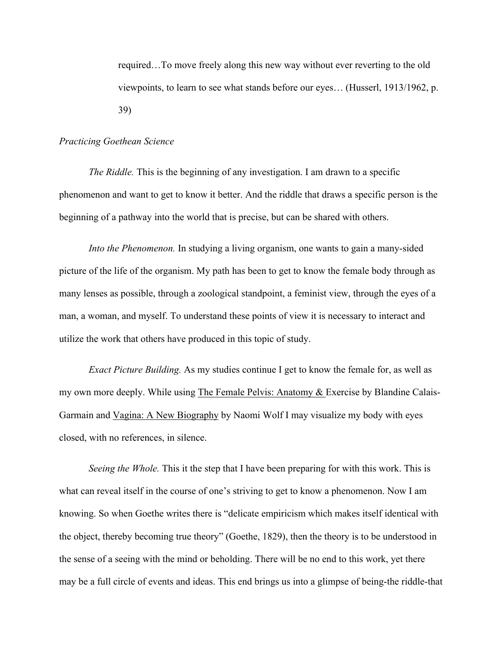required…To move freely along this new way without ever reverting to the old viewpoints, to learn to see what stands before our eyes… (Husserl, 1913/1962, p. 39)

#### *Practicing Goethean Science*

*The Riddle.* This is the beginning of any investigation. I am drawn to a specific phenomenon and want to get to know it better. And the riddle that draws a specific person is the beginning of a pathway into the world that is precise, but can be shared with others.

*Into the Phenomenon.* In studying a living organism, one wants to gain a many-sided picture of the life of the organism. My path has been to get to know the female body through as many lenses as possible, through a zoological standpoint, a feminist view, through the eyes of a man, a woman, and myself. To understand these points of view it is necessary to interact and utilize the work that others have produced in this topic of study.

*Exact Picture Building.* As my studies continue I get to know the female for, as well as my own more deeply. While using The Female Pelvis: Anatomy & Exercise by Blandine Calais-Garmain and Vagina: A New Biography by Naomi Wolf I may visualize my body with eyes closed, with no references, in silence.

*Seeing the Whole.* This it the step that I have been preparing for with this work. This is what can reveal itself in the course of one's striving to get to know a phenomenon. Now I am knowing. So when Goethe writes there is "delicate empiricism which makes itself identical with the object, thereby becoming true theory" (Goethe, 1829), then the theory is to be understood in the sense of a seeing with the mind or beholding. There will be no end to this work, yet there may be a full circle of events and ideas. This end brings us into a glimpse of being-the riddle-that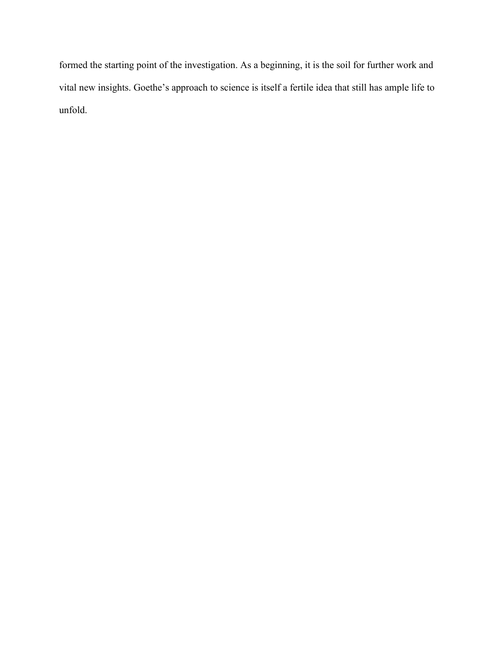formed the starting point of the investigation. As a beginning, it is the soil for further work and vital new insights. Goethe's approach to science is itself a fertile idea that still has ample life to unfold.